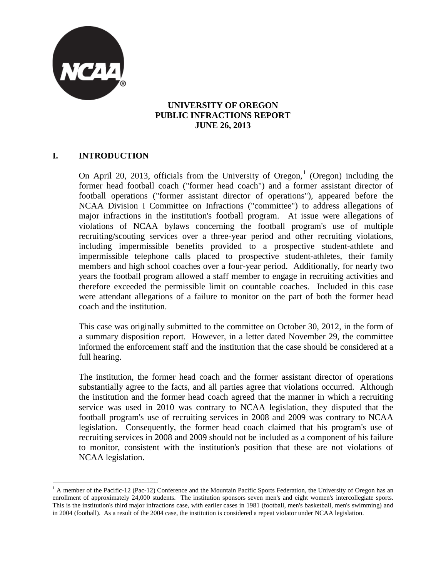

### **UNIVERSITY OF OREGON PUBLIC INFRACTIONS REPORT JUNE 26, 2013**

# **I. INTRODUCTION**

On April 20, 20[1](#page-0-0)3, officials from the University of Oregon,<sup>1</sup> (Oregon) including the former head football coach ("former head coach") and a former assistant director of football operations ("former assistant director of operations"), appeared before the NCAA Division I Committee on Infractions ("committee") to address allegations of major infractions in the institution's football program. At issue were allegations of violations of NCAA bylaws concerning the football program's use of multiple recruiting/scouting services over a three-year period and other recruiting violations, including impermissible benefits provided to a prospective student-athlete and impermissible telephone calls placed to prospective student-athletes, their family members and high school coaches over a four-year period. Additionally, for nearly two years the football program allowed a staff member to engage in recruiting activities and therefore exceeded the permissible limit on countable coaches. Included in this case were attendant allegations of a failure to monitor on the part of both the former head coach and the institution.

This case was originally submitted to the committee on October 30, 2012, in the form of a summary disposition report. However, in a letter dated November 29, the committee informed the enforcement staff and the institution that the case should be considered at a full hearing.

The institution, the former head coach and the former assistant director of operations substantially agree to the facts, and all parties agree that violations occurred. Although the institution and the former head coach agreed that the manner in which a recruiting service was used in 2010 was contrary to NCAA legislation, they disputed that the football program's use of recruiting services in 2008 and 2009 was contrary to NCAA legislation. Consequently, the former head coach claimed that his program's use of recruiting services in 2008 and 2009 should not be included as a component of his failure to monitor, consistent with the institution's position that these are not violations of NCAA legislation.

<span id="page-0-0"></span> $<sup>1</sup>$  A member of the Pacific-12 (Pac-12) Conference and the Mountain Pacific Sports Federation, the University of Oregon has an</sup> enrollment of approximately 24,000 students. The institution sponsors seven men's and eight women's intercollegiate sports. This is the institution's third major infractions case, with earlier cases in 1981 (football, men's basketball, men's swimming) and in 2004 (football). As a result of the 2004 case, the institution is considered a repeat violator under NCAA legislation.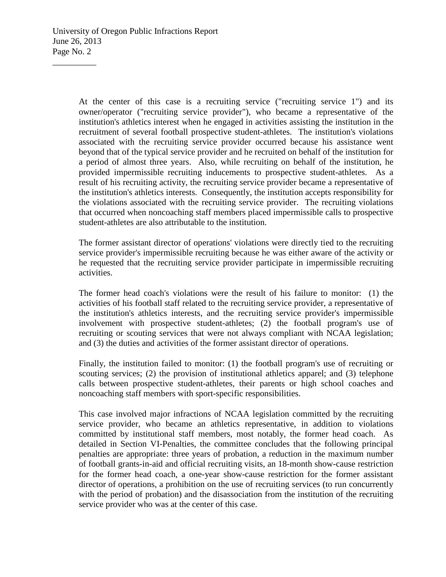At the center of this case is a recruiting service ("recruiting service 1") and its owner/operator ("recruiting service provider"), who became a representative of the institution's athletics interest when he engaged in activities assisting the institution in the recruitment of several football prospective student-athletes. The institution's violations associated with the recruiting service provider occurred because his assistance went beyond that of the typical service provider and he recruited on behalf of the institution for a period of almost three years. Also, while recruiting on behalf of the institution, he provided impermissible recruiting inducements to prospective student-athletes. As a result of his recruiting activity, the recruiting service provider became a representative of the institution's athletics interests. Consequently, the institution accepts responsibility for the violations associated with the recruiting service provider. The recruiting violations that occurred when noncoaching staff members placed impermissible calls to prospective student-athletes are also attributable to the institution.

The former assistant director of operations' violations were directly tied to the recruiting service provider's impermissible recruiting because he was either aware of the activity or he requested that the recruiting service provider participate in impermissible recruiting activities.

The former head coach's violations were the result of his failure to monitor: (1) the activities of his football staff related to the recruiting service provider, a representative of the institution's athletics interests, and the recruiting service provider's impermissible involvement with prospective student-athletes; (2) the football program's use of recruiting or scouting services that were not always compliant with NCAA legislation; and (3) the duties and activities of the former assistant director of operations.

Finally, the institution failed to monitor: (1) the football program's use of recruiting or scouting services; (2) the provision of institutional athletics apparel; and (3) telephone calls between prospective student-athletes, their parents or high school coaches and noncoaching staff members with sport-specific responsibilities.

This case involved major infractions of NCAA legislation committed by the recruiting service provider, who became an athletics representative, in addition to violations committed by institutional staff members, most notably, the former head coach. As detailed in Section VI-Penalties, the committee concludes that the following principal penalties are appropriate: three years of probation, a reduction in the maximum number of football grants-in-aid and official recruiting visits, an 18-month show-cause restriction for the former head coach, a one-year show-cause restriction for the former assistant director of operations, a prohibition on the use of recruiting services (to run concurrently with the period of probation) and the disassociation from the institution of the recruiting service provider who was at the center of this case.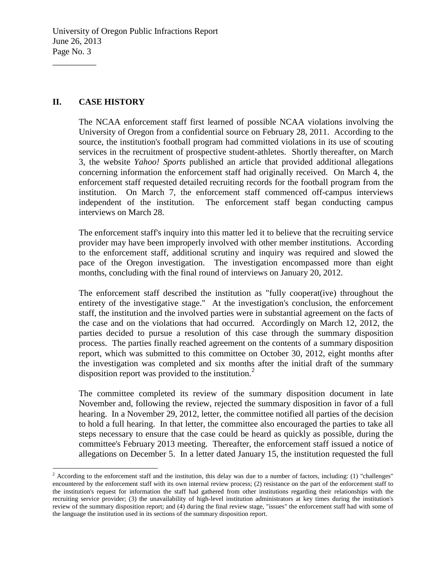### **II. CASE HISTORY**

 $\overline{\phantom{a}}$  , where  $\overline{\phantom{a}}$ 

The NCAA enforcement staff first learned of possible NCAA violations involving the University of Oregon from a confidential source on February 28, 2011. According to the source, the institution's football program had committed violations in its use of scouting services in the recruitment of prospective student-athletes. Shortly thereafter, on March 3, the website *Yahoo! Sports* published an article that provided additional allegations concerning information the enforcement staff had originally received. On March 4, the enforcement staff requested detailed recruiting records for the football program from the institution. On March 7, the enforcement staff commenced off-campus interviews independent of the institution. The enforcement staff began conducting campus interviews on March 28.

The enforcement staff's inquiry into this matter led it to believe that the recruiting service provider may have been improperly involved with other member institutions. According to the enforcement staff, additional scrutiny and inquiry was required and slowed the pace of the Oregon investigation. The investigation encompassed more than eight months, concluding with the final round of interviews on January 20, 2012.

The enforcement staff described the institution as "fully cooperat(ive) throughout the entirety of the investigative stage." At the investigation's conclusion, the enforcement staff, the institution and the involved parties were in substantial agreement on the facts of the case and on the violations that had occurred. Accordingly on March 12, 2012, the parties decided to pursue a resolution of this case through the summary disposition process. The parties finally reached agreement on the contents of a summary disposition report, which was submitted to this committee on October 30, 2012, eight months after the investigation was completed and six months after the initial draft of the summary disposition report was provided to the institution. [2](#page-2-0)

The committee completed its review of the summary disposition document in late November and, following the review, rejected the summary disposition in favor of a full hearing. In a November 29, 2012, letter, the committee notified all parties of the decision to hold a full hearing. In that letter, the committee also encouraged the parties to take all steps necessary to ensure that the case could be heard as quickly as possible, during the committee's February 2013 meeting. Thereafter, the enforcement staff issued a notice of allegations on December 5. In a letter dated January 15, the institution requested the full

<span id="page-2-0"></span> $2\text{ According to the enforcement staff and the institution, this delay was due to a number of factors, including: (1) "challenges"$ encountered by the enforcement staff with its own internal review process; (2) resistance on the part of the enforcement staff to the institution's request for information the staff had gathered from other institutions regarding their relationships with the recruiting service provider; (3) the unavailability of high-level institution administrators at key times during the institution's review of the summary disposition report; and (4) during the final review stage, "issues" the enforcement staff had with some of the language the institution used in its sections of the summary disposition report.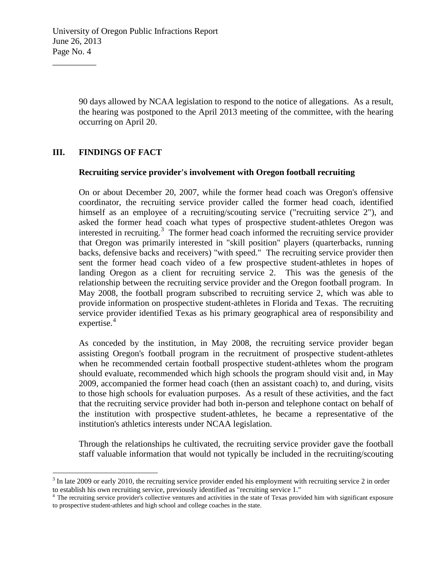90 days allowed by NCAA legislation to respond to the notice of allegations. As a result, the hearing was postponed to the April 2013 meeting of the committee, with the hearing occurring on April 20.

## **III. FINDINGS OF FACT**

 $\overline{\phantom{a}}$  , where  $\overline{\phantom{a}}$ 

#### **Recruiting service provider's involvement with Oregon football recruiting**

On or about December 20, 2007, while the former head coach was Oregon's offensive coordinator, the recruiting service provider called the former head coach, identified himself as an employee of a recruiting/scouting service ("recruiting service 2"), and asked the former head coach what types of prospective student-athletes Oregon was interested in recruiting.<sup>[3](#page-3-0)</sup> The former head coach informed the recruiting service provider that Oregon was primarily interested in "skill position" players (quarterbacks, running backs, defensive backs and receivers) "with speed." The recruiting service provider then sent the former head coach video of a few prospective student-athletes in hopes of landing Oregon as a client for recruiting service 2. This was the genesis of the relationship between the recruiting service provider and the Oregon football program. In May 2008, the football program subscribed to recruiting service 2, which was able to provide information on prospective student-athletes in Florida and Texas. The recruiting service provider identified Texas as his primary geographical area of responsibility and expertise. [4](#page-3-1)

As conceded by the institution, in May 2008, the recruiting service provider began assisting Oregon's football program in the recruitment of prospective student-athletes when he recommended certain football prospective student-athletes whom the program should evaluate, recommended which high schools the program should visit and, in May 2009, accompanied the former head coach (then an assistant coach) to, and during, visits to those high schools for evaluation purposes. As a result of these activities, and the fact that the recruiting service provider had both in-person and telephone contact on behalf of the institution with prospective student-athletes, he became a representative of the institution's athletics interests under NCAA legislation.

Through the relationships he cultivated, the recruiting service provider gave the football staff valuable information that would not typically be included in the recruiting/scouting

<span id="page-3-0"></span> $3$  In late 2009 or early 2010, the recruiting service provider ended his employment with recruiting service 2 in order to establish his own recruiting service, previously identified as "recruiting service  $1$ ."

<span id="page-3-1"></span><sup>&</sup>lt;sup>4</sup> The recruiting service provider's collective ventures and activities in the state of Texas provided him with significant exposure to prospective student-athletes and high school and college coaches in the state.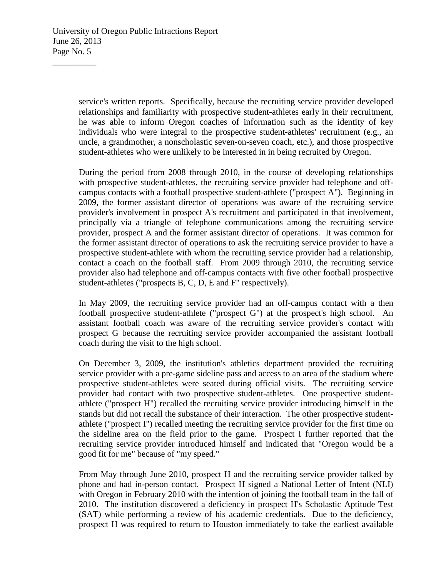service's written reports. Specifically, because the recruiting service provider developed relationships and familiarity with prospective student-athletes early in their recruitment, he was able to inform Oregon coaches of information such as the identity of key individuals who were integral to the prospective student-athletes' recruitment (e.g., an uncle, a grandmother, a nonscholastic seven-on-seven coach, etc.), and those prospective student-athletes who were unlikely to be interested in in being recruited by Oregon.

During the period from 2008 through 2010, in the course of developing relationships with prospective student-athletes, the recruiting service provider had telephone and offcampus contacts with a football prospective student-athlete ("prospect A"). Beginning in 2009, the former assistant director of operations was aware of the recruiting service provider's involvement in prospect A's recruitment and participated in that involvement, principally via a triangle of telephone communications among the recruiting service provider, prospect A and the former assistant director of operations. It was common for the former assistant director of operations to ask the recruiting service provider to have a prospective student-athlete with whom the recruiting service provider had a relationship, contact a coach on the football staff. From 2009 through 2010, the recruiting service provider also had telephone and off-campus contacts with five other football prospective student-athletes ("prospects B, C, D, E and F" respectively).

In May 2009, the recruiting service provider had an off-campus contact with a then football prospective student-athlete ("prospect G") at the prospect's high school. An assistant football coach was aware of the recruiting service provider's contact with prospect G because the recruiting service provider accompanied the assistant football coach during the visit to the high school.

On December 3, 2009, the institution's athletics department provided the recruiting service provider with a pre-game sideline pass and access to an area of the stadium where prospective student-athletes were seated during official visits. The recruiting service provider had contact with two prospective student-athletes. One prospective studentathlete ("prospect H") recalled the recruiting service provider introducing himself in the stands but did not recall the substance of their interaction. The other prospective studentathlete ("prospect I") recalled meeting the recruiting service provider for the first time on the sideline area on the field prior to the game. Prospect I further reported that the recruiting service provider introduced himself and indicated that "Oregon would be a good fit for me" because of "my speed."

From May through June 2010, prospect H and the recruiting service provider talked by phone and had in-person contact. Prospect H signed a National Letter of Intent (NLI) with Oregon in February 2010 with the intention of joining the football team in the fall of 2010. The institution discovered a deficiency in prospect H's Scholastic Aptitude Test (SAT) while performing a review of his academic credentials. Due to the deficiency, prospect H was required to return to Houston immediately to take the earliest available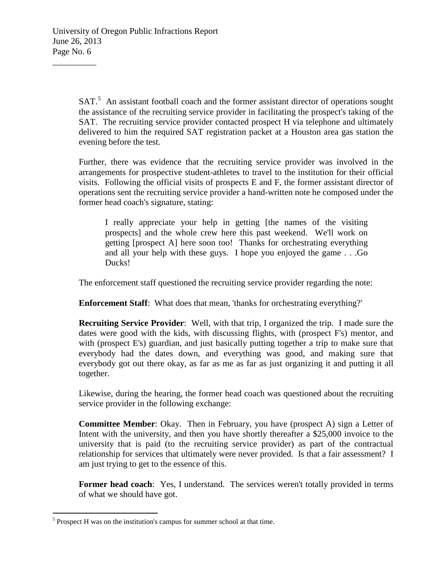SAT.<sup>[5](#page-5-0)</sup> An assistant football coach and the former assistant director of operations sought the assistance of the recruiting service provider in facilitating the prospect's taking of the SAT. The recruiting service provider contacted prospect H via telephone and ultimately delivered to him the required SAT registration packet at a Houston area gas station the evening before the test.

Further, there was evidence that the recruiting service provider was involved in the arrangements for prospective student-athletes to travel to the institution for their official visits. Following the official visits of prospects E and F, the former assistant director of operations sent the recruiting service provider a hand-written note he composed under the former head coach's signature, stating:

I really appreciate your help in getting [the names of the visiting prospects] and the whole crew here this past weekend. We'll work on getting [prospect A] here soon too! Thanks for orchestrating everything and all your help with these guys. I hope you enjoyed the game . . .Go Ducks!

The enforcement staff questioned the recruiting service provider regarding the note:

**Enforcement Staff**: What does that mean, 'thanks for orchestrating everything?'

**Recruiting Service Provider**: Well, with that trip, I organized the trip. I made sure the dates were good with the kids, with discussing flights, with (prospect F's) mentor, and with (prospect E's) guardian, and just basically putting together a trip to make sure that everybody had the dates down, and everything was good, and making sure that everybody got out there okay, as far as me as far as just organizing it and putting it all together.

Likewise, during the hearing, the former head coach was questioned about the recruiting service provider in the following exchange:

**Committee Member**: Okay. Then in February, you have (prospect A) sign a Letter of Intent with the university, and then you have shortly thereafter a \$25,000 invoice to the university that is paid (to the recruiting service provider) as part of the contractual relationship for services that ultimately were never provided. Is that a fair assessment? I am just trying to get to the essence of this.

Former head coach: Yes, I understand. The services weren't totally provided in terms of what we should have got.

<span id="page-5-0"></span> $<sup>5</sup>$  Prospect H was on the institution's campus for summer school at that time.</sup>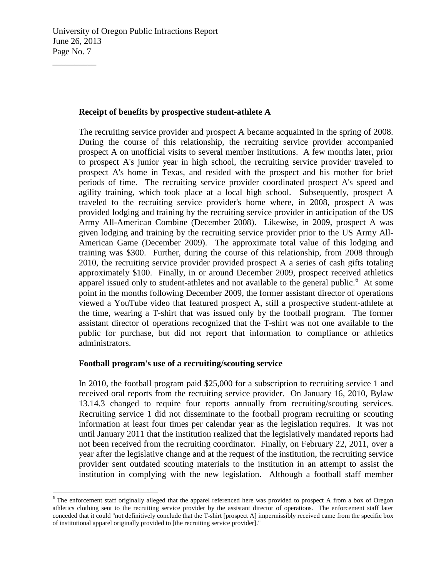### **Receipt of benefits by prospective student-athlete A**

The recruiting service provider and prospect A became acquainted in the spring of 2008. During the course of this relationship, the recruiting service provider accompanied prospect A on unofficial visits to several member institutions. A few months later, prior to prospect A's junior year in high school, the recruiting service provider traveled to prospect A's home in Texas, and resided with the prospect and his mother for brief periods of time. The recruiting service provider coordinated prospect A's speed and agility training, which took place at a local high school. Subsequently, prospect A traveled to the recruiting service provider's home where, in 2008, prospect A was provided lodging and training by the recruiting service provider in anticipation of the US Army All-American Combine (December 2008). Likewise, in 2009, prospect A was given lodging and training by the recruiting service provider prior to the US Army All-American Game (December 2009). The approximate total value of this lodging and training was \$300. Further, during the course of this relationship, from 2008 through 2010, the recruiting service provider provided prospect A a series of cash gifts totaling approximately \$100. Finally, in or around December 2009, prospect received athletics apparel issued only to student-athletes and not available to the general public.<sup>[6](#page-6-0)</sup> At some point in the months following December 2009, the former assistant director of operations viewed a YouTube video that featured prospect A, still a prospective student-athlete at the time, wearing a T-shirt that was issued only by the football program. The former assistant director of operations recognized that the T-shirt was not one available to the public for purchase, but did not report that information to compliance or athletics administrators.

## **Football program's use of a recruiting/scouting service**

In 2010, the football program paid \$25,000 for a subscription to recruiting service 1 and received oral reports from the recruiting service provider. On January 16, 2010, Bylaw 13.14.3 changed to require four reports annually from recruiting/scouting services. Recruiting service 1 did not disseminate to the football program recruiting or scouting information at least four times per calendar year as the legislation requires. It was not until January 2011 that the institution realized that the legislatively mandated reports had not been received from the recruiting coordinator. Finally, on February 22, 2011, over a year after the legislative change and at the request of the institution, the recruiting service provider sent outdated scouting materials to the institution in an attempt to assist the institution in complying with the new legislation. Although a football staff member

<span id="page-6-0"></span><sup>&</sup>lt;sup>6</sup> The enforcement staff originally alleged that the apparel referenced here was provided to prospect A from a box of Oregon athletics clothing sent to the recruiting service provider by the assistant director of operations. The enforcement staff later conceded that it could "not definitively conclude that the T-shirt [prospect A] impermissibly received came from the specific box of institutional apparel originally provided to [the recruiting service provider]."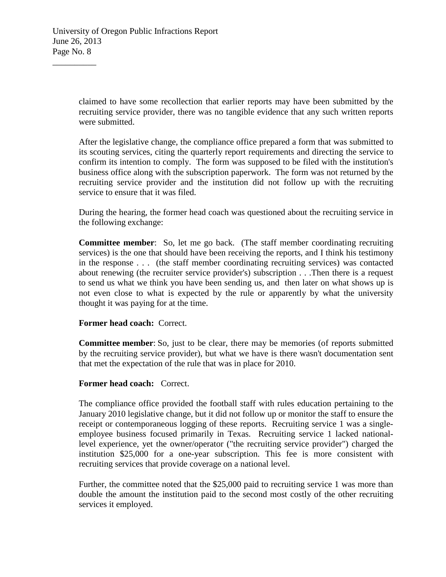claimed to have some recollection that earlier reports may have been submitted by the recruiting service provider, there was no tangible evidence that any such written reports were submitted.

After the legislative change, the compliance office prepared a form that was submitted to its scouting services, citing the quarterly report requirements and directing the service to confirm its intention to comply. The form was supposed to be filed with the institution's business office along with the subscription paperwork. The form was not returned by the recruiting service provider and the institution did not follow up with the recruiting service to ensure that it was filed.

During the hearing, the former head coach was questioned about the recruiting service in the following exchange:

**Committee member**: So, let me go back. (The staff member coordinating recruiting services) is the one that should have been receiving the reports, and I think his testimony in the response . . . (the staff member coordinating recruiting services) was contacted about renewing (the recruiter service provider's) subscription . . .Then there is a request to send us what we think you have been sending us, and then later on what shows up is not even close to what is expected by the rule or apparently by what the university thought it was paying for at the time.

### **Former head coach:** Correct.

**Committee member:** So, just to be clear, there may be memories (of reports submitted by the recruiting service provider), but what we have is there wasn't documentation sent that met the expectation of the rule that was in place for 2010.

### **Former head coach:** Correct.

The compliance office provided the football staff with rules education pertaining to the January 2010 legislative change, but it did not follow up or monitor the staff to ensure the receipt or contemporaneous logging of these reports. Recruiting service 1 was a singleemployee business focused primarily in Texas. Recruiting service 1 lacked nationallevel experience, yet the owner/operator ("the recruiting service provider") charged the institution \$25,000 for a one-year subscription. This fee is more consistent with recruiting services that provide coverage on a national level.

Further, the committee noted that the \$25,000 paid to recruiting service 1 was more than double the amount the institution paid to the second most costly of the other recruiting services it employed.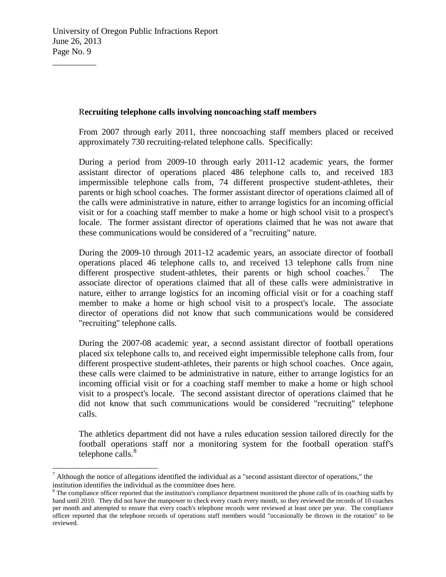### R**ecruiting telephone calls involving noncoaching staff members**

From 2007 through early 2011, three noncoaching staff members placed or received approximately 730 recruiting-related telephone calls. Specifically:

During a period from 2009-10 through early 2011-12 academic years, the former assistant director of operations placed 486 telephone calls to, and received 183 impermissible telephone calls from, 74 different prospective student-athletes, their parents or high school coaches. The former assistant director of operations claimed all of the calls were administrative in nature, either to arrange logistics for an incoming official visit or for a coaching staff member to make a home or high school visit to a prospect's locale. The former assistant director of operations claimed that he was not aware that these communications would be considered of a "recruiting" nature.

During the 2009-10 through 2011-12 academic years, an associate director of football operations placed 46 telephone calls to, and received 13 telephone calls from nine different prospective student-athletes, their parents or high school coaches.<sup>[7](#page-8-0)</sup> The associate director of operations claimed that all of these calls were administrative in nature, either to arrange logistics for an incoming official visit or for a coaching staff member to make a home or high school visit to a prospect's locale. The associate director of operations did not know that such communications would be considered "recruiting" telephone calls.

During the 2007-08 academic year, a second assistant director of football operations placed six telephone calls to, and received eight impermissible telephone calls from, four different prospective student-athletes, their parents or high school coaches. Once again, these calls were claimed to be administrative in nature, either to arrange logistics for an incoming official visit or for a coaching staff member to make a home or high school visit to a prospect's locale. The second assistant director of operations claimed that he did not know that such communications would be considered "recruiting" telephone calls.

The athletics department did not have a rules education session tailored directly for the football operations staff nor a monitoring system for the football operation staff's telephone calls. $8<sup>8</sup>$  $8<sup>8</sup>$ 

<span id="page-8-0"></span> $<sup>7</sup>$  Although the notice of allegations identified the individual as a "second assistant director of operations," the</sup> institution identifies the individual as the committee does here.

<span id="page-8-1"></span> $8$  The compliance officer reported that the institution's compliance department monitored the phone calls of its coaching staffs by hand until 2010. They did not have the manpower to check every coach every month, so they reviewed the records of 10 coaches per month and attempted to ensure that every coach's telephone records were reviewed at least once per year. The compliance officer reported that the telephone records of operations staff members would "occasionally be thrown in the rotation" to be reviewed.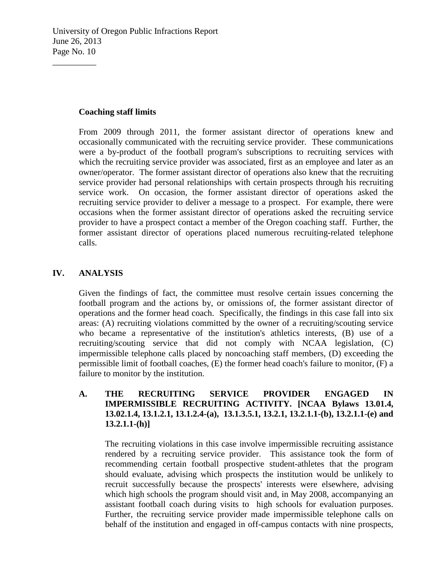### **Coaching staff limits**

 $\overline{\phantom{a}}$  , where  $\overline{\phantom{a}}$ 

From 2009 through 2011, the former assistant director of operations knew and occasionally communicated with the recruiting service provider. These communications were a by-product of the football program's subscriptions to recruiting services with which the recruiting service provider was associated, first as an employee and later as an owner/operator. The former assistant director of operations also knew that the recruiting service provider had personal relationships with certain prospects through his recruiting service work. On occasion, the former assistant director of operations asked the recruiting service provider to deliver a message to a prospect. For example, there were occasions when the former assistant director of operations asked the recruiting service provider to have a prospect contact a member of the Oregon coaching staff. Further, the former assistant director of operations placed numerous recruiting-related telephone calls.

## **IV. ANALYSIS**

Given the findings of fact, the committee must resolve certain issues concerning the football program and the actions by, or omissions of, the former assistant director of operations and the former head coach. Specifically, the findings in this case fall into six areas: (A) recruiting violations committed by the owner of a recruiting/scouting service who became a representative of the institution's athletics interests, (B) use of a recruiting/scouting service that did not comply with NCAA legislation, (C) impermissible telephone calls placed by noncoaching staff members, (D) exceeding the permissible limit of football coaches, (E) the former head coach's failure to monitor, (F) a failure to monitor by the institution.

## **A. THE RECRUITING SERVICE PROVIDER ENGAGED IN IMPERMISSIBLE RECRUITING ACTIVITY. [NCAA Bylaws 13.01.4, 13.02.1.4, 13.1.2.1, 13.1.2.4-(a), 13.1.3.5.1, 13.2.1, 13.2.1.1-(b), 13.2.1.1-(e) and 13.2.1.1-(h)]**

The recruiting violations in this case involve impermissible recruiting assistance rendered by a recruiting service provider. This assistance took the form of recommending certain football prospective student-athletes that the program should evaluate, advising which prospects the institution would be unlikely to recruit successfully because the prospects' interests were elsewhere, advising which high schools the program should visit and, in May 2008, accompanying an assistant football coach during visits to high schools for evaluation purposes. Further, the recruiting service provider made impermissible telephone calls on behalf of the institution and engaged in off-campus contacts with nine prospects,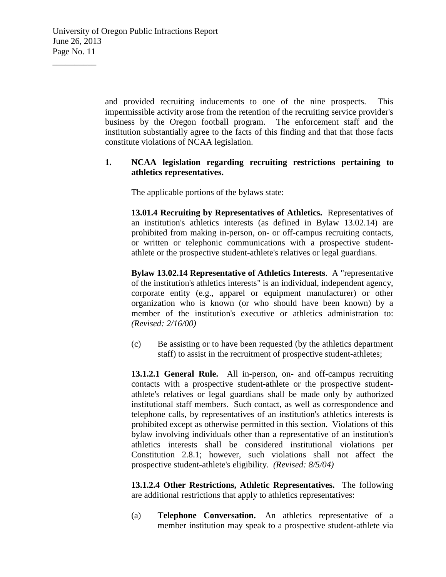and provided recruiting inducements to one of the nine prospects. This impermissible activity arose from the retention of the recruiting service provider's business by the Oregon football program. The enforcement staff and the institution substantially agree to the facts of this finding and that that those facts constitute violations of NCAA legislation.

### **1. NCAA legislation regarding recruiting restrictions pertaining to athletics representatives.**

The applicable portions of the bylaws state:

**13.01.4 Recruiting by Representatives of Athletics.** Representatives of an institution's athletics interests (as defined in Bylaw 13.02.14) are prohibited from making in-person, on- or off-campus recruiting contacts, or written or telephonic communications with a prospective studentathlete or the prospective student-athlete's relatives or legal guardians.

**Bylaw 13.02.14 Representative of Athletics Interests**. A "representative of the institution's athletics interests" is an individual, independent agency, corporate entity (e.g., apparel or equipment manufacturer) or other organization who is known (or who should have been known) by a member of the institution's executive or athletics administration to: *(Revised: 2/16/00)*

(c) Be assisting or to have been requested (by the athletics department staff) to assist in the recruitment of prospective student-athletes;

**13.1.2.1 General Rule.** All in-person, on- and off-campus recruiting contacts with a prospective student-athlete or the prospective studentathlete's relatives or legal guardians shall be made only by authorized institutional staff members. Such contact, as well as correspondence and telephone calls, by representatives of an institution's athletics interests is prohibited except as otherwise permitted in this section. Violations of this bylaw involving individuals other than a representative of an institution's athletics interests shall be considered institutional violations per Constitution 2.8.1; however, such violations shall not affect the prospective student-athlete's eligibility. *(Revised: 8/5/04)*

**13.1.2.4 Other Restrictions, Athletic Representatives.** The following are additional restrictions that apply to athletics representatives:

(a) **Telephone Conversation.** An athletics representative of a member institution may speak to a prospective student-athlete via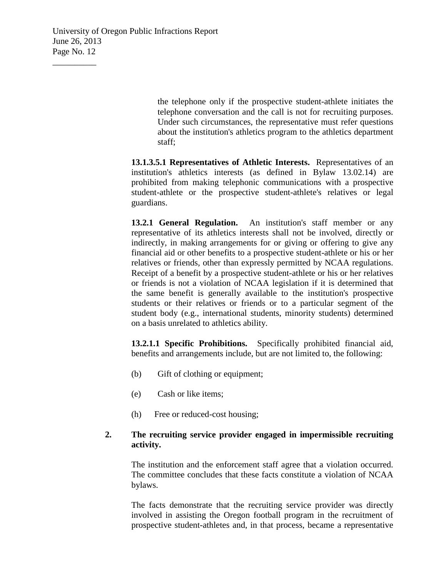the telephone only if the prospective student-athlete initiates the telephone conversation and the call is not for recruiting purposes. Under such circumstances, the representative must refer questions about the institution's athletics program to the athletics department staff;

**13.1.3.5.1 Representatives of Athletic Interests.** Representatives of an institution's athletics interests (as defined in Bylaw 13.02.14) are prohibited from making telephonic communications with a prospective student-athlete or the prospective student-athlete's relatives or legal guardians.

**13.2.1 General Regulation.** An institution's staff member or any representative of its athletics interests shall not be involved, directly or indirectly, in making arrangements for or giving or offering to give any financial aid or other benefits to a prospective student-athlete or his or her relatives or friends, other than expressly permitted by NCAA regulations. Receipt of a benefit by a prospective student-athlete or his or her relatives or friends is not a violation of NCAA legislation if it is determined that the same benefit is generally available to the institution's prospective students or their relatives or friends or to a particular segment of the student body (e.g., international students, minority students) determined on a basis unrelated to athletics ability.

**13.2.1.1 Specific Prohibitions.** Specifically prohibited financial aid, benefits and arrangements include, but are not limited to, the following:

- (b) Gift of clothing or equipment;
- (e) Cash or like items;
- (h) Free or reduced-cost housing;

## **2. The recruiting service provider engaged in impermissible recruiting activity.**

The institution and the enforcement staff agree that a violation occurred. The committee concludes that these facts constitute a violation of NCAA bylaws.

The facts demonstrate that the recruiting service provider was directly involved in assisting the Oregon football program in the recruitment of prospective student-athletes and, in that process, became a representative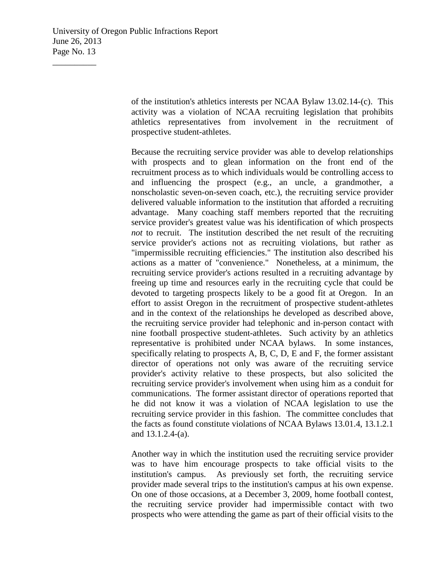of the institution's athletics interests per NCAA Bylaw 13.02.14-(c). This activity was a violation of NCAA recruiting legislation that prohibits athletics representatives from involvement in the recruitment of prospective student-athletes.

Because the recruiting service provider was able to develop relationships with prospects and to glean information on the front end of the recruitment process as to which individuals would be controlling access to and influencing the prospect (e.g., an uncle, a grandmother, a nonscholastic seven-on-seven coach, etc.), the recruiting service provider delivered valuable information to the institution that afforded a recruiting advantage. Many coaching staff members reported that the recruiting service provider's greatest value was his identification of which prospects *not* to recruit. The institution described the net result of the recruiting service provider's actions not as recruiting violations, but rather as "impermissible recruiting efficiencies." The institution also described his actions as a matter of "convenience." Nonetheless, at a minimum, the recruiting service provider's actions resulted in a recruiting advantage by freeing up time and resources early in the recruiting cycle that could be devoted to targeting prospects likely to be a good fit at Oregon. In an effort to assist Oregon in the recruitment of prospective student-athletes and in the context of the relationships he developed as described above, the recruiting service provider had telephonic and in-person contact with nine football prospective student-athletes. Such activity by an athletics representative is prohibited under NCAA bylaws. In some instances, specifically relating to prospects A, B, C, D, E and F, the former assistant director of operations not only was aware of the recruiting service provider's activity relative to these prospects, but also solicited the recruiting service provider's involvement when using him as a conduit for communications. The former assistant director of operations reported that he did not know it was a violation of NCAA legislation to use the recruiting service provider in this fashion. The committee concludes that the facts as found constitute violations of NCAA Bylaws 13.01.4, 13.1.2.1 and 13.1.2.4-(a).

Another way in which the institution used the recruiting service provider was to have him encourage prospects to take official visits to the institution's campus. As previously set forth, the recruiting service provider made several trips to the institution's campus at his own expense. On one of those occasions, at a December 3, 2009, home football contest, the recruiting service provider had impermissible contact with two prospects who were attending the game as part of their official visits to the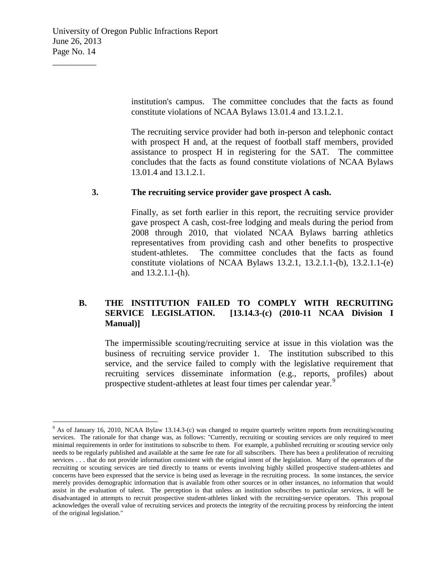institution's campus. The committee concludes that the facts as found constitute violations of NCAA Bylaws 13.01.4 and 13.1.2.1.

The recruiting service provider had both in-person and telephonic contact with prospect H and, at the request of football staff members, provided assistance to prospect H in registering for the SAT. The committee concludes that the facts as found constitute violations of NCAA Bylaws 13.01.4 and 13.1.2.1.

### **3. The recruiting service provider gave prospect A cash.**

Finally, as set forth earlier in this report, the recruiting service provider gave prospect A cash, cost-free lodging and meals during the period from 2008 through 2010, that violated NCAA Bylaws barring athletics representatives from providing cash and other benefits to prospective student-athletes. The committee concludes that the facts as found constitute violations of NCAA Bylaws 13.2.1, 13.2.1.1-(b), 13.2.1.1-(e) and 13.2.1.1-(h).

## **B. THE INSTITUTION FAILED TO COMPLY WITH RECRUITING SERVICE LEGISLATION. [13.14.3-(c) (2010-11 NCAA Division I Manual)]**

The impermissible scouting/recruiting service at issue in this violation was the business of recruiting service provider 1. The institution subscribed to this service, and the service failed to comply with the legislative requirement that recruiting services disseminate information (e.g., reports, profiles) about prospective student-athletes at least four times per calendar year.<sup>[9](#page-13-0)</sup>

<span id="page-13-0"></span><sup>&</sup>lt;sup>9</sup> As of January 16, 2010, NCAA Bylaw 13.14.3-(c) was changed to require quarterly written reports from recruiting/scouting services. The rationale for that change was, as follows: "Currently, recruiting or scouting services are only required to meet minimal requirements in order for institutions to subscribe to them. For example, a published recruiting or scouting service only needs to be regularly published and available at the same fee rate for all subscribers. There has been a proliferation of recruiting services . . . that do not provide information consistent with the original intent of the legislation. Many of the operators of the recruiting or scouting services are tied directly to teams or events involving highly skilled prospective student-athletes and concerns have been expressed that the service is being used as leverage in the recruiting process. In some instances, the service merely provides demographic information that is available from other sources or in other instances, no information that would assist in the evaluation of talent. The perception is that unless an institution subscribes to particular services, it will be disadvantaged in attempts to recruit prospective student-athletes linked with the recruiting-service operators. This proposal acknowledges the overall value of recruiting services and protects the integrity of the recruiting process by reinforcing the intent of the original legislation."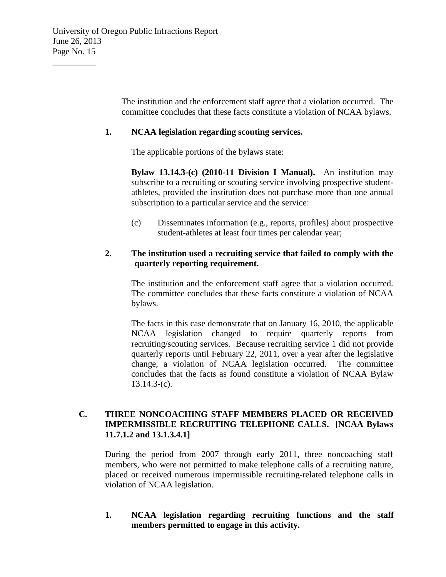The institution and the enforcement staff agree that a violation occurred. The committee concludes that these facts constitute a violation of NCAA bylaws.

### **1. NCAA legislation regarding scouting services.**

The applicable portions of the bylaws state:

**Bylaw 13.14.3-(c) (2010-11 Division I Manual).** An institution may subscribe to a recruiting or scouting service involving prospective studentathletes, provided the institution does not purchase more than one annual subscription to a particular service and the service:

(c) Disseminates information (e.g., reports, profiles) about prospective student-athletes at least four times per calendar year;

## **2. The institution used a recruiting service that failed to comply with the quarterly reporting requirement.**

The institution and the enforcement staff agree that a violation occurred. The committee concludes that these facts constitute a violation of NCAA bylaws.

The facts in this case demonstrate that on January 16, 2010, the applicable NCAA legislation changed to require quarterly reports from recruiting/scouting services. Because recruiting service 1 did not provide quarterly reports until February 22, 2011, over a year after the legislative change, a violation of NCAA legislation occurred. The committee concludes that the facts as found constitute a violation of NCAA Bylaw 13.14.3-(c).

## **C. THREE NONCOACHING STAFF MEMBERS PLACED OR RECEIVED IMPERMISSIBLE RECRUITING TELEPHONE CALLS. [NCAA Bylaws 11.7.1.2 and 13.1.3.4.1]**

During the period from 2007 through early 2011, three noncoaching staff members, who were not permitted to make telephone calls of a recruiting nature, placed or received numerous impermissible recruiting-related telephone calls in violation of NCAA legislation.

**1. NCAA legislation regarding recruiting functions and the staff members permitted to engage in this activity.**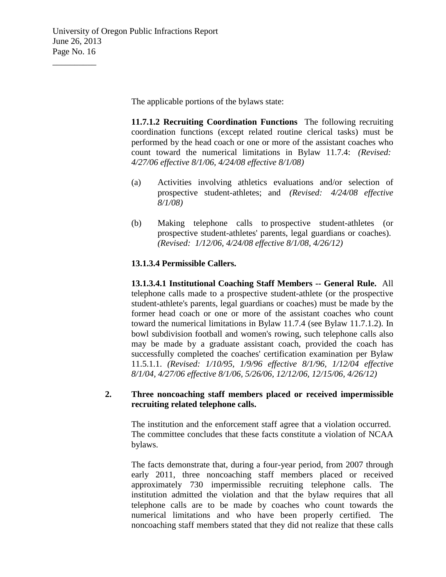The applicable portions of the bylaws state:

**11.7.1.2 Recruiting Coordination Functions** The following recruiting coordination functions (except related routine clerical tasks) must be performed by the head coach or one or more of the assistant coaches who count toward the numerical limitations in Bylaw 11.7.4: *(Revised: 4/27/06 effective 8/1/06, 4/24/08 effective 8/1/08)*

- (a) Activities involving athletics evaluations and/or selection of prospective student-athletes; and *(Revised: 4/24/08 effective 8/1/08)*
- (b) Making telephone calls to prospective student-athletes (or prospective student-athletes' parents, legal guardians or coaches). *(Revised: 1/12/06, 4/24/08 effective 8/1/08, 4/26/12)*

## **13.1.3.4 Permissible Callers.**

**13.1.3.4.1 Institutional Coaching Staff Members -- General Rule.** All telephone calls made to a prospective student-athlete (or the prospective student-athlete's parents, legal guardians or coaches) must be made by the former head coach or one or more of the assistant coaches who count toward the numerical limitations in Bylaw 11.7.4 (see Bylaw 11.7.1.2). In bowl subdivision football and women's rowing, such telephone calls also may be made by a graduate assistant coach, provided the coach has successfully completed the coaches' certification examination per Bylaw 11.5.1.1. *(Revised: 1/10/95, 1/9/96 effective 8/1/96, 1/12/04 effective 8/1/04, 4/27/06 effective 8/1/06, 5/26/06, 12/12/06, 12/15/06, 4/26/12)*

### **2. Three noncoaching staff members placed or received impermissible recruiting related telephone calls.**

The institution and the enforcement staff agree that a violation occurred. The committee concludes that these facts constitute a violation of NCAA bylaws.

The facts demonstrate that, during a four-year period, from 2007 through early 2011, three noncoaching staff members placed or received approximately 730 impermissible recruiting telephone calls. The institution admitted the violation and that the bylaw requires that all telephone calls are to be made by coaches who count towards the numerical limitations and who have been properly certified. The noncoaching staff members stated that they did not realize that these calls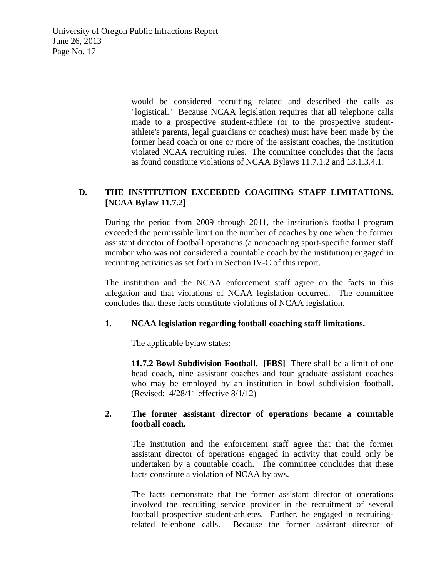University of Oregon Public Infractions Report June 26, 2013 Page No. 17

 $\overline{\phantom{a}}$  , where  $\overline{\phantom{a}}$ 

would be considered recruiting related and described the calls as "logistical." Because NCAA legislation requires that all telephone calls made to a prospective student-athlete (or to the prospective studentathlete's parents, legal guardians or coaches) must have been made by the former head coach or one or more of the assistant coaches, the institution violated NCAA recruiting rules. The committee concludes that the facts as found constitute violations of NCAA Bylaws 11.7.1.2 and 13.1.3.4.1.

## **D. THE INSTITUTION EXCEEDED COACHING STAFF LIMITATIONS. [NCAA Bylaw 11.7.2]**

During the period from 2009 through 2011, the institution's football program exceeded the permissible limit on the number of coaches by one when the former assistant director of football operations (a noncoaching sport-specific former staff member who was not considered a countable coach by the institution) engaged in recruiting activities as set forth in Section IV-C of this report.

The institution and the NCAA enforcement staff agree on the facts in this allegation and that violations of NCAA legislation occurred. The committee concludes that these facts constitute violations of NCAA legislation.

### **1. NCAA legislation regarding football coaching staff limitations.**

The applicable bylaw states:

**11.7.2 Bowl Subdivision Football. [FBS]** There shall be a limit of one head coach, nine assistant coaches and four graduate assistant coaches who may be employed by an institution in bowl subdivision football. (Revised: 4/28/11 effective 8/1/12)

### **2. The former assistant director of operations became a countable football coach.**

The institution and the enforcement staff agree that that the former assistant director of operations engaged in activity that could only be undertaken by a countable coach. The committee concludes that these facts constitute a violation of NCAA bylaws.

The facts demonstrate that the former assistant director of operations involved the recruiting service provider in the recruitment of several football prospective student-athletes. Further, he engaged in recruitingrelated telephone calls. Because the former assistant director of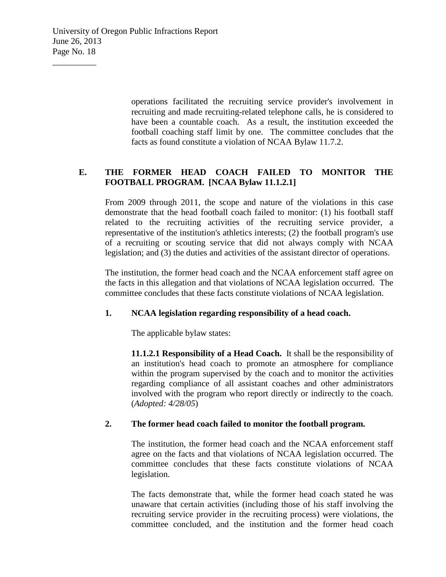operations facilitated the recruiting service provider's involvement in recruiting and made recruiting-related telephone calls, he is considered to have been a countable coach. As a result, the institution exceeded the football coaching staff limit by one. The committee concludes that the facts as found constitute a violation of NCAA Bylaw 11.7.2.

# **E. THE FORMER HEAD COACH FAILED TO MONITOR THE FOOTBALL PROGRAM. [NCAA Bylaw 11.1.2.1]**

From 2009 through 2011, the scope and nature of the violations in this case demonstrate that the head football coach failed to monitor: (1) his football staff related to the recruiting activities of the recruiting service provider, a representative of the institution's athletics interests; (2) the football program's use of a recruiting or scouting service that did not always comply with NCAA legislation; and (3) the duties and activities of the assistant director of operations.

The institution, the former head coach and the NCAA enforcement staff agree on the facts in this allegation and that violations of NCAA legislation occurred. The committee concludes that these facts constitute violations of NCAA legislation.

## **1. NCAA legislation regarding responsibility of a head coach.**

The applicable bylaw states:

**11.1.2.1 Responsibility of a Head Coach.** It shall be the responsibility of an institution's head coach to promote an atmosphere for compliance within the program supervised by the coach and to monitor the activities regarding compliance of all assistant coaches and other administrators involved with the program who report directly or indirectly to the coach. (*Adopted: 4/28/05*)

## **2. The former head coach failed to monitor the football program.**

The institution, the former head coach and the NCAA enforcement staff agree on the facts and that violations of NCAA legislation occurred. The committee concludes that these facts constitute violations of NCAA legislation.

The facts demonstrate that, while the former head coach stated he was unaware that certain activities (including those of his staff involving the recruiting service provider in the recruiting process) were violations, the committee concluded, and the institution and the former head coach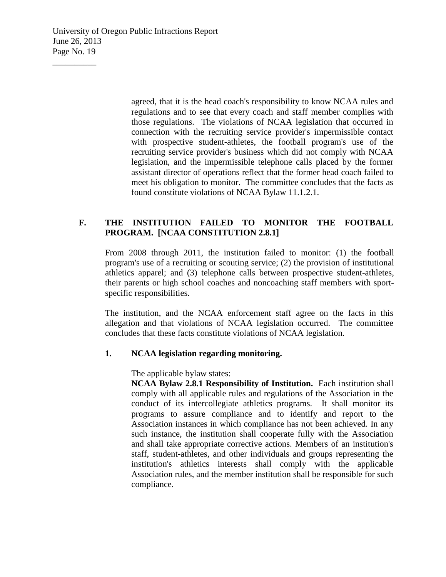University of Oregon Public Infractions Report June 26, 2013 Page No. 19

 $\overline{\phantom{a}}$  , where  $\overline{\phantom{a}}$ 

agreed, that it is the head coach's responsibility to know NCAA rules and regulations and to see that every coach and staff member complies with those regulations. The violations of NCAA legislation that occurred in connection with the recruiting service provider's impermissible contact with prospective student-athletes, the football program's use of the recruiting service provider's business which did not comply with NCAA legislation, and the impermissible telephone calls placed by the former assistant director of operations reflect that the former head coach failed to meet his obligation to monitor. The committee concludes that the facts as found constitute violations of NCAA Bylaw 11.1.2.1.

## **F. THE INSTITUTION FAILED TO MONITOR THE FOOTBALL PROGRAM. [NCAA CONSTITUTION 2.8.1]**

From 2008 through 2011, the institution failed to monitor: (1) the football program's use of a recruiting or scouting service; (2) the provision of institutional athletics apparel; and (3) telephone calls between prospective student-athletes, their parents or high school coaches and noncoaching staff members with sportspecific responsibilities.

The institution, and the NCAA enforcement staff agree on the facts in this allegation and that violations of NCAA legislation occurred. The committee concludes that these facts constitute violations of NCAA legislation.

### **1. NCAA legislation regarding monitoring.**

The applicable bylaw states:

**NCAA Bylaw 2.8.1 Responsibility of Institution.** Each institution shall comply with all applicable rules and regulations of the Association in the conduct of its intercollegiate athletics programs. It shall monitor its programs to assure compliance and to identify and report to the Association instances in which compliance has not been achieved. In any such instance, the institution shall cooperate fully with the Association and shall take appropriate corrective actions. Members of an institution's staff, student-athletes, and other individuals and groups representing the institution's athletics interests shall comply with the applicable Association rules, and the member institution shall be responsible for such compliance.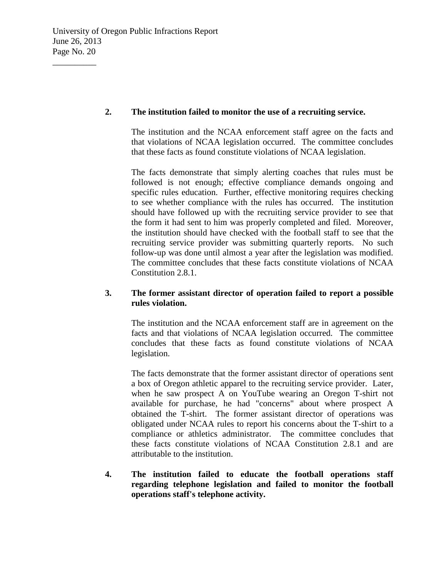## **2. The institution failed to monitor the use of a recruiting service.**

The institution and the NCAA enforcement staff agree on the facts and that violations of NCAA legislation occurred. The committee concludes that these facts as found constitute violations of NCAA legislation.

The facts demonstrate that simply alerting coaches that rules must be followed is not enough; effective compliance demands ongoing and specific rules education. Further, effective monitoring requires checking to see whether compliance with the rules has occurred. The institution should have followed up with the recruiting service provider to see that the form it had sent to him was properly completed and filed. Moreover, the institution should have checked with the football staff to see that the recruiting service provider was submitting quarterly reports. No such follow-up was done until almost a year after the legislation was modified. The committee concludes that these facts constitute violations of NCAA Constitution 2.8.1.

## **3. The former assistant director of operation failed to report a possible rules violation.**

The institution and the NCAA enforcement staff are in agreement on the facts and that violations of NCAA legislation occurred. The committee concludes that these facts as found constitute violations of NCAA legislation.

The facts demonstrate that the former assistant director of operations sent a box of Oregon athletic apparel to the recruiting service provider. Later, when he saw prospect A on YouTube wearing an Oregon T-shirt not available for purchase, he had "concerns" about where prospect A obtained the T-shirt. The former assistant director of operations was obligated under NCAA rules to report his concerns about the T-shirt to a compliance or athletics administrator. The committee concludes that these facts constitute violations of NCAA Constitution 2.8.1 and are attributable to the institution.

**4. The institution failed to educate the football operations staff regarding telephone legislation and failed to monitor the football operations staff's telephone activity.**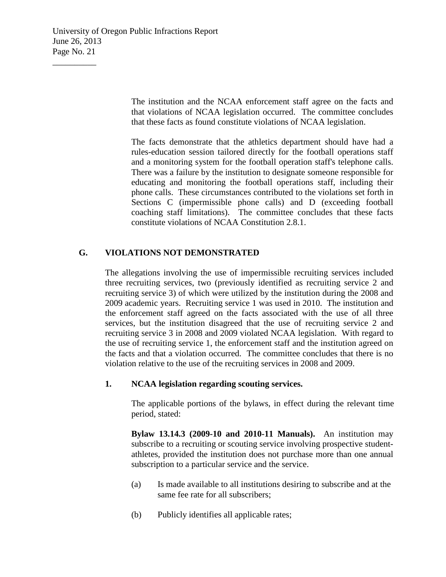University of Oregon Public Infractions Report June 26, 2013 Page No. 21

 $\overline{\phantom{a}}$  , where  $\overline{\phantom{a}}$ 

The institution and the NCAA enforcement staff agree on the facts and that violations of NCAA legislation occurred. The committee concludes that these facts as found constitute violations of NCAA legislation.

The facts demonstrate that the athletics department should have had a rules-education session tailored directly for the football operations staff and a monitoring system for the football operation staff's telephone calls. There was a failure by the institution to designate someone responsible for educating and monitoring the football operations staff, including their phone calls. These circumstances contributed to the violations set forth in Sections C (impermissible phone calls) and D (exceeding football coaching staff limitations). The committee concludes that these facts constitute violations of NCAA Constitution 2.8.1.

### **G. VIOLATIONS NOT DEMONSTRATED**

The allegations involving the use of impermissible recruiting services included three recruiting services, two (previously identified as recruiting service 2 and recruiting service 3) of which were utilized by the institution during the 2008 and 2009 academic years. Recruiting service 1 was used in 2010. The institution and the enforcement staff agreed on the facts associated with the use of all three services, but the institution disagreed that the use of recruiting service 2 and recruiting service 3 in 2008 and 2009 violated NCAA legislation. With regard to the use of recruiting service 1, the enforcement staff and the institution agreed on the facts and that a violation occurred. The committee concludes that there is no violation relative to the use of the recruiting services in 2008 and 2009.

### **1. NCAA legislation regarding scouting services.**

The applicable portions of the bylaws, in effect during the relevant time period, stated:

**Bylaw 13.14.3 (2009-10 and 2010-11 Manuals).** An institution may subscribe to a recruiting or scouting service involving prospective studentathletes, provided the institution does not purchase more than one annual subscription to a particular service and the service.

- (a) Is made available to all institutions desiring to subscribe and at the same fee rate for all subscribers;
- (b) Publicly identifies all applicable rates;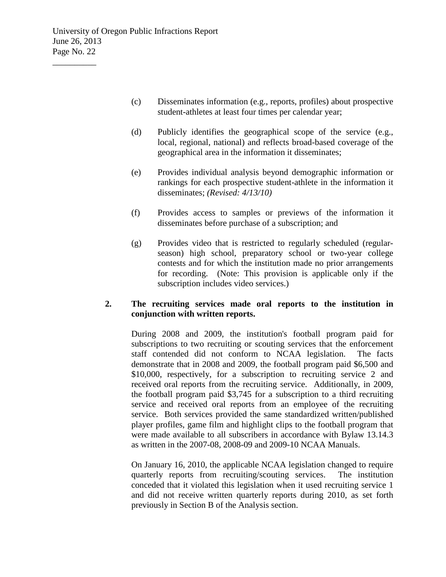- (c) Disseminates information (e.g., reports, profiles) about prospective student-athletes at least four times per calendar year;
- (d) Publicly identifies the geographical scope of the service (e.g., local, regional, national) and reflects broad-based coverage of the geographical area in the information it disseminates;
- (e) Provides individual analysis beyond demographic information or rankings for each prospective student-athlete in the information it disseminates; *(Revised: 4/13/10)*
- (f) Provides access to samples or previews of the information it disseminates before purchase of a subscription; and
- (g) Provides video that is restricted to regularly scheduled (regularseason) high school, preparatory school or two-year college contests and for which the institution made no prior arrangements for recording. (Note: This provision is applicable only if the subscription includes video services.)

### **2. The recruiting services made oral reports to the institution in conjunction with written reports.**

During 2008 and 2009, the institution's football program paid for subscriptions to two recruiting or scouting services that the enforcement staff contended did not conform to NCAA legislation. The facts demonstrate that in 2008 and 2009, the football program paid \$6,500 and \$10,000, respectively, for a subscription to recruiting service 2 and received oral reports from the recruiting service. Additionally, in 2009, the football program paid \$3,745 for a subscription to a third recruiting service and received oral reports from an employee of the recruiting service. Both services provided the same standardized written/published player profiles, game film and highlight clips to the football program that were made available to all subscribers in accordance with Bylaw 13.14.3 as written in the 2007-08, 2008-09 and 2009-10 NCAA Manuals.

On January 16, 2010, the applicable NCAA legislation changed to require quarterly reports from recruiting/scouting services. The institution conceded that it violated this legislation when it used recruiting service 1 and did not receive written quarterly reports during 2010, as set forth previously in Section B of the Analysis section.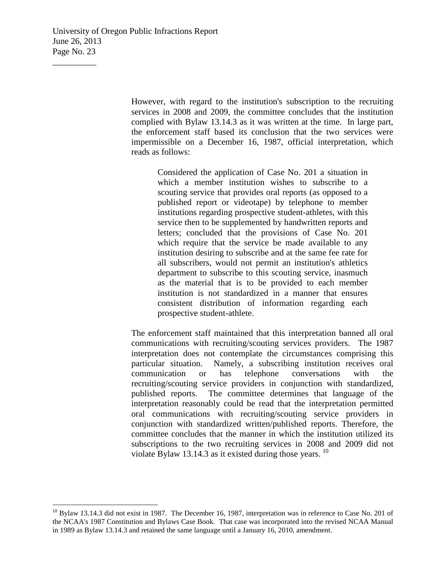University of Oregon Public Infractions Report June 26, 2013 Page No. 23

 $\overline{\phantom{a}}$  , where  $\overline{\phantom{a}}$ 

However, with regard to the institution's subscription to the recruiting services in 2008 and 2009, the committee concludes that the institution complied with Bylaw 13.14.3 as it was written at the time. In large part, the enforcement staff based its conclusion that the two services were impermissible on a December 16, 1987, official interpretation, which reads as follows:

> Considered the application of Case No. 201 a situation in which a member institution wishes to subscribe to a scouting service that provides oral reports (as opposed to a published report or videotape) by telephone to member institutions regarding prospective student-athletes, with this service then to be supplemented by handwritten reports and letters; concluded that the provisions of Case No. 201 which require that the service be made available to any institution desiring to subscribe and at the same fee rate for all subscribers, would not permit an institution's athletics department to subscribe to this scouting service, inasmuch as the material that is to be provided to each member institution is not standardized in a manner that ensures consistent distribution of information regarding each prospective student-athlete.

The enforcement staff maintained that this interpretation banned all oral communications with recruiting/scouting services providers. The 1987 interpretation does not contemplate the circumstances comprising this particular situation. Namely, a subscribing institution receives oral communication or has telephone conversations with the recruiting/scouting service providers in conjunction with standardized, published reports. The committee determines that language of the interpretation reasonably could be read that the interpretation permitted oral communications with recruiting/scouting service providers in conjunction with standardized written/published reports. Therefore, the committee concludes that the manner in which the institution utilized its subscriptions to the two recruiting services in 2008 and 2009 did not violate Bylaw 13.14.3 as it existed during those years.  $^{10}$  $^{10}$  $^{10}$ 

<span id="page-22-0"></span> $10$  Bylaw 13.14.3 did not exist in 1987. The December 16, 1987, interpretation was in reference to Case No. 201 of the NCAA's 1987 Constitution and Bylaws Case Book. That case was incorporated into the revised NCAA Manual in 1989 as Bylaw 13.14.3 and retained the same language until a January 16, 2010, amendment.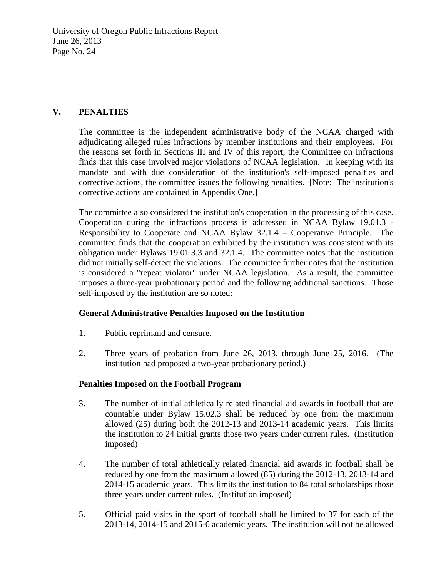# **V. PENALTIES**

 $\overline{\phantom{a}}$  , where  $\overline{\phantom{a}}$ 

The committee is the independent administrative body of the NCAA charged with adjudicating alleged rules infractions by member institutions and their employees. For the reasons set forth in Sections III and IV of this report, the Committee on Infractions finds that this case involved major violations of NCAA legislation. In keeping with its mandate and with due consideration of the institution's self-imposed penalties and corrective actions, the committee issues the following penalties. [Note: The institution's corrective actions are contained in Appendix One.]

The committee also considered the institution's cooperation in the processing of this case. Cooperation during the infractions process is addressed in NCAA Bylaw 19.01.3 - Responsibility to Cooperate and NCAA Bylaw 32.1.4 – Cooperative Principle. The committee finds that the cooperation exhibited by the institution was consistent with its obligation under Bylaws 19.01.3.3 and 32.1.4. The committee notes that the institution did not initially self-detect the violations. The committee further notes that the institution is considered a "repeat violator" under NCAA legislation. As a result, the committee imposes a three-year probationary period and the following additional sanctions. Those self-imposed by the institution are so noted:

## **General Administrative Penalties Imposed on the Institution**

- 1. Public reprimand and censure.
- 2. Three years of probation from June 26, 2013, through June 25, 2016. (The institution had proposed a two-year probationary period.)

## **Penalties Imposed on the Football Program**

- 3. The number of initial athletically related financial aid awards in football that are countable under Bylaw 15.02.3 shall be reduced by one from the maximum allowed (25) during both the 2012-13 and 2013-14 academic years. This limits the institution to 24 initial grants those two years under current rules. (Institution imposed)
- 4. The number of total athletically related financial aid awards in football shall be reduced by one from the maximum allowed (85) during the 2012-13, 2013-14 and 2014-15 academic years. This limits the institution to 84 total scholarships those three years under current rules. (Institution imposed)
- 5. Official paid visits in the sport of football shall be limited to 37 for each of the 2013-14, 2014-15 and 2015-6 academic years. The institution will not be allowed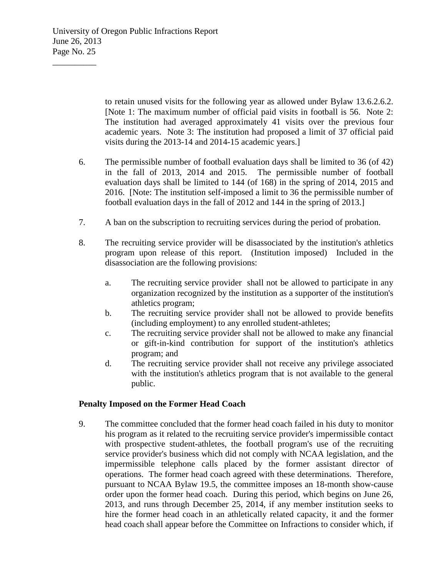to retain unused visits for the following year as allowed under Bylaw 13.6.2.6.2. [Note 1: The maximum number of official paid visits in football is 56. Note 2: The institution had averaged approximately 41 visits over the previous four academic years. Note 3: The institution had proposed a limit of 37 official paid visits during the 2013-14 and 2014-15 academic years.]

- 6. The permissible number of football evaluation days shall be limited to 36 (of 42) in the fall of 2013, 2014 and 2015. The permissible number of football evaluation days shall be limited to 144 (of 168) in the spring of 2014, 2015 and 2016. [Note: The institution self-imposed a limit to 36 the permissible number of football evaluation days in the fall of 2012 and 144 in the spring of 2013.]
- 7. A ban on the subscription to recruiting services during the period of probation.
- 8. The recruiting service provider will be disassociated by the institution's athletics program upon release of this report. (Institution imposed) Included in the disassociation are the following provisions:
	- a. The recruiting service provider shall not be allowed to participate in any organization recognized by the institution as a supporter of the institution's athletics program;
	- b. The recruiting service provider shall not be allowed to provide benefits (including employment) to any enrolled student-athletes;
	- c. The recruiting service provider shall not be allowed to make any financial or gift-in-kind contribution for support of the institution's athletics program; and
	- d. The recruiting service provider shall not receive any privilege associated with the institution's athletics program that is not available to the general public.

### **Penalty Imposed on the Former Head Coach**

9. The committee concluded that the former head coach failed in his duty to monitor his program as it related to the recruiting service provider's impermissible contact with prospective student-athletes, the football program's use of the recruiting service provider's business which did not comply with NCAA legislation, and the impermissible telephone calls placed by the former assistant director of operations. The former head coach agreed with these determinations. Therefore, pursuant to NCAA Bylaw 19.5, the committee imposes an 18-month show-cause order upon the former head coach. During this period, which begins on June 26, 2013, and runs through December 25, 2014, if any member institution seeks to hire the former head coach in an athletically related capacity, it and the former head coach shall appear before the Committee on Infractions to consider which, if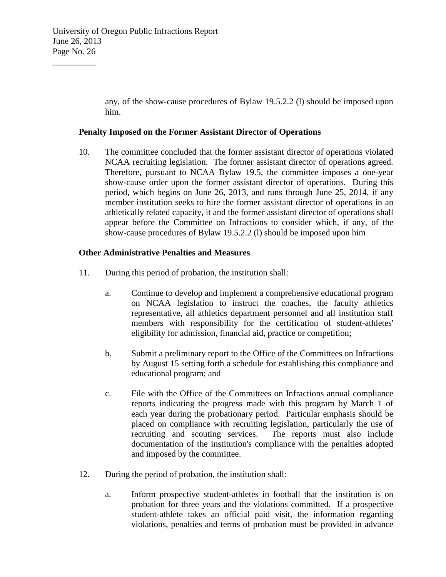any, of the show-cause procedures of Bylaw 19.5.2.2 (l) should be imposed upon him.

#### **Penalty Imposed on the Former Assistant Director of Operations**

10. The committee concluded that the former assistant director of operations violated NCAA recruiting legislation. The former assistant director of operations agreed. Therefore, pursuant to NCAA Bylaw 19.5, the committee imposes a one-year show-cause order upon the former assistant director of operations. During this period, which begins on June 26, 2013, and runs through June 25, 2014, if any member institution seeks to hire the former assistant director of operations in an athletically related capacity, it and the former assistant director of operations shall appear before the Committee on Infractions to consider which, if any, of the show-cause procedures of Bylaw 19.5.2.2 (l) should be imposed upon him

#### **Other Administrative Penalties and Measures**

- 11. During this period of probation, the institution shall:
	- a. Continue to develop and implement a comprehensive educational program on NCAA legislation to instruct the coaches, the faculty athletics representative, all athletics department personnel and all institution staff members with responsibility for the certification of student-athletes' eligibility for admission, financial aid, practice or competition;
	- b. Submit a preliminary report to the Office of the Committees on Infractions by August 15 setting forth a schedule for establishing this compliance and educational program; and
	- c. File with the Office of the Committees on Infractions annual compliance reports indicating the progress made with this program by March 1 of each year during the probationary period. Particular emphasis should be placed on compliance with recruiting legislation, particularly the use of recruiting and scouting services. The reports must also include documentation of the institution's compliance with the penalties adopted and imposed by the committee.
- 12. During the period of probation, the institution shall:
	- a. Inform prospective student-athletes in football that the institution is on probation for three years and the violations committed. If a prospective student-athlete takes an official paid visit, the information regarding violations, penalties and terms of probation must be provided in advance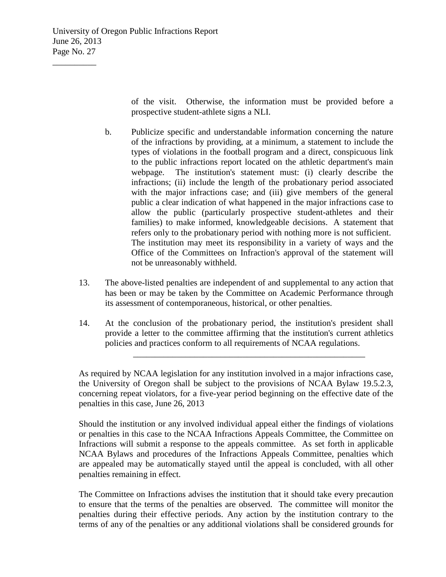of the visit. Otherwise, the information must be provided before a prospective student-athlete signs a NLI.

- b. Publicize specific and understandable information concerning the nature of the infractions by providing, at a minimum, a statement to include the types of violations in the football program and a direct, conspicuous link to the public infractions report located on the athletic department's main webpage. The institution's statement must: (i) clearly describe the infractions; (ii) include the length of the probationary period associated with the major infractions case; and (iii) give members of the general public a clear indication of what happened in the major infractions case to allow the public (particularly prospective student-athletes and their families) to make informed, knowledgeable decisions. A statement that refers only to the probationary period with nothing more is not sufficient. The institution may meet its responsibility in a variety of ways and the Office of the Committees on Infraction's approval of the statement will not be unreasonably withheld.
- 13. The above-listed penalties are independent of and supplemental to any action that has been or may be taken by the Committee on Academic Performance through its assessment of contemporaneous, historical, or other penalties.
- 14. At the conclusion of the probationary period, the institution's president shall provide a letter to the committee affirming that the institution's current athletics policies and practices conform to all requirements of NCAA regulations.

\_\_\_\_\_\_\_\_\_\_\_\_\_\_\_\_\_\_\_\_\_\_\_\_\_\_\_\_\_\_\_\_\_\_\_\_\_\_\_\_\_\_\_\_\_\_\_\_\_\_\_\_\_

As required by NCAA legislation for any institution involved in a major infractions case, the University of Oregon shall be subject to the provisions of NCAA Bylaw 19.5.2.3, concerning repeat violators, for a five-year period beginning on the effective date of the penalties in this case, June 26, 2013

Should the institution or any involved individual appeal either the findings of violations or penalties in this case to the NCAA Infractions Appeals Committee, the Committee on Infractions will submit a response to the appeals committee. As set forth in applicable NCAA Bylaws and procedures of the Infractions Appeals Committee, penalties which are appealed may be automatically stayed until the appeal is concluded, with all other penalties remaining in effect.

The Committee on Infractions advises the institution that it should take every precaution to ensure that the terms of the penalties are observed. The committee will monitor the penalties during their effective periods. Any action by the institution contrary to the terms of any of the penalties or any additional violations shall be considered grounds for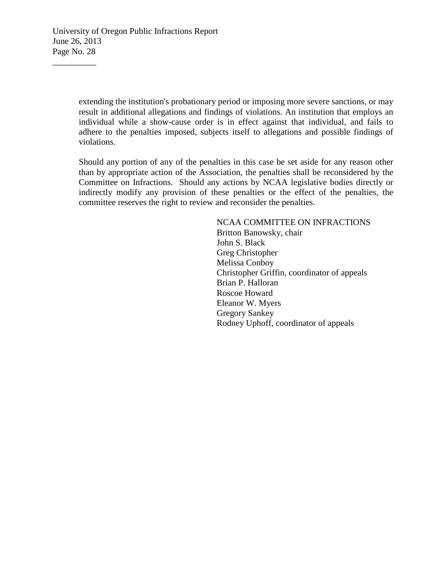extending the institution's probationary period or imposing more severe sanctions, or may result in additional allegations and findings of violations. An institution that employs an individual while a show-cause order is in effect against that individual, and fails to adhere to the penalties imposed, subjects itself to allegations and possible findings of violations.

Should any portion of any of the penalties in this case be set aside for any reason other than by appropriate action of the Association, the penalties shall be reconsidered by the Committee on Infractions. Should any actions by NCAA legislative bodies directly or indirectly modify any provision of these penalties or the effect of the penalties, the committee reserves the right to review and reconsider the penalties.

> NCAA COMMITTEE ON INFRACTIONS Britton Banowsky, chair John S. Black Greg Christopher Melissa Conboy Christopher Griffin, coordinator of appeals Brian P. Halloran Roscoe Howard Eleanor W. Myers Gregory Sankey Rodney Uphoff, coordinator of appeals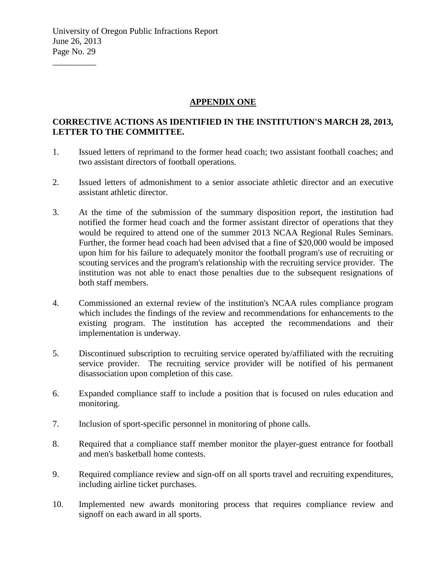### **APPENDIX ONE**

## **CORRECTIVE ACTIONS AS IDENTIFIED IN THE INSTITUTION'S MARCH 28, 2013, LETTER TO THE COMMITTEE.**

- 1. Issued letters of reprimand to the former head coach; two assistant football coaches; and two assistant directors of football operations.
- 2. Issued letters of admonishment to a senior associate athletic director and an executive assistant athletic director.
- 3. At the time of the submission of the summary disposition report, the institution had notified the former head coach and the former assistant director of operations that they would be required to attend one of the summer 2013 NCAA Regional Rules Seminars. Further, the former head coach had been advised that a fine of \$20,000 would be imposed upon him for his failure to adequately monitor the football program's use of recruiting or scouting services and the program's relationship with the recruiting service provider. The institution was not able to enact those penalties due to the subsequent resignations of both staff members.
- 4. Commissioned an external review of the institution's NCAA rules compliance program which includes the findings of the review and recommendations for enhancements to the existing program. The institution has accepted the recommendations and their implementation is underway.
- 5. Discontinued subscription to recruiting service operated by/affiliated with the recruiting service provider. The recruiting service provider will be notified of his permanent disassociation upon completion of this case.
- 6. Expanded compliance staff to include a position that is focused on rules education and monitoring.
- 7. Inclusion of sport-specific personnel in monitoring of phone calls.
- 8. Required that a compliance staff member monitor the player-guest entrance for football and men's basketball home contests.
- 9. Required compliance review and sign-off on all sports travel and recruiting expenditures, including airline ticket purchases.
- 10. Implemented new awards monitoring process that requires compliance review and signoff on each award in all sports.